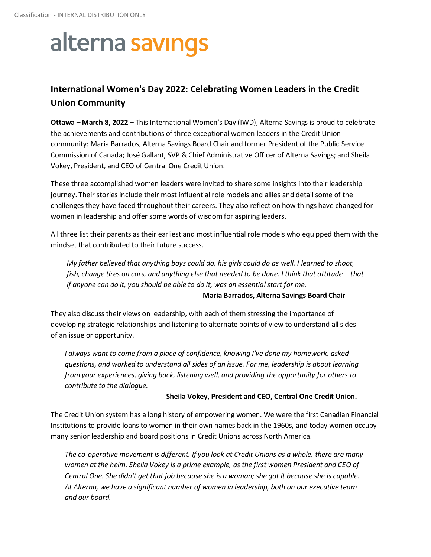# alterna savings

### **International Women's Day 2022: Celebrating Women Leaders in the Credit Union Community**

**Ottawa – March 8, 2022 –** This International Women's Day (IWD), Alterna Savings is proud to celebrate the achievements and contributions of three exceptional women leaders in the Credit Union community: Maria Barrados, Alterna Savings Board Chair and former President of the Public Service Commission of Canada; José Gallant, SVP & Chief Administrative Officer of Alterna Savings; and Sheila Vokey, President, and CEO of Central One Credit Union.

These three accomplished women leaders were invited to share some insights into their leadership journey. Their stories include their most influential role models and allies and detail some of the challenges they have faced throughout their careers. They also reflect on how things have changed for women in leadership and offer some words of wisdom for aspiring leaders.

All three list their parents as their earliest and most influential role models who equipped them with the mindset that contributed to their future success.

*My father believed that anything boys could do, his girls could do as well. I learned to shoot, fish, change tires on cars, and anything else that needed to be done. I think that attitude – that if anyone can do it, you should be able to do it, was an essential start for me.*

### **Maria Barrados, Alterna Savings Board Chair**

They also discuss their views on leadership, with each of them stressing the importance of developing strategic relationships and listening to alternate points of view to understand all sides of an issue or opportunity.

*I always want to come from a place of confidence, knowing I've done my homework, asked questions, and worked to understand all sides of an issue. For me, leadership is about learning from your experiences, giving back, listening well, and providing the opportunity for others to contribute to the dialogue.* 

### **Sheila Vokey, President and CEO, Central One Credit Union.**

The Credit Union system has a long history of empowering women. We were the first Canadian Financial Institutions to provide loans to women in their own names back in the 1960s, and today women occupy many senior leadership and board positions in Credit Unions across North America.

*The co-operative movement is different. If you look at Credit Unions as a whole, there are many women at the helm. Sheila Vokey is a prime example, as the first women President and CEO of Central One. She didn't get that job because she is a woman; she got it because she is capable. At Alterna, we have a significant number of women in leadership, both on our executive team and our board.*